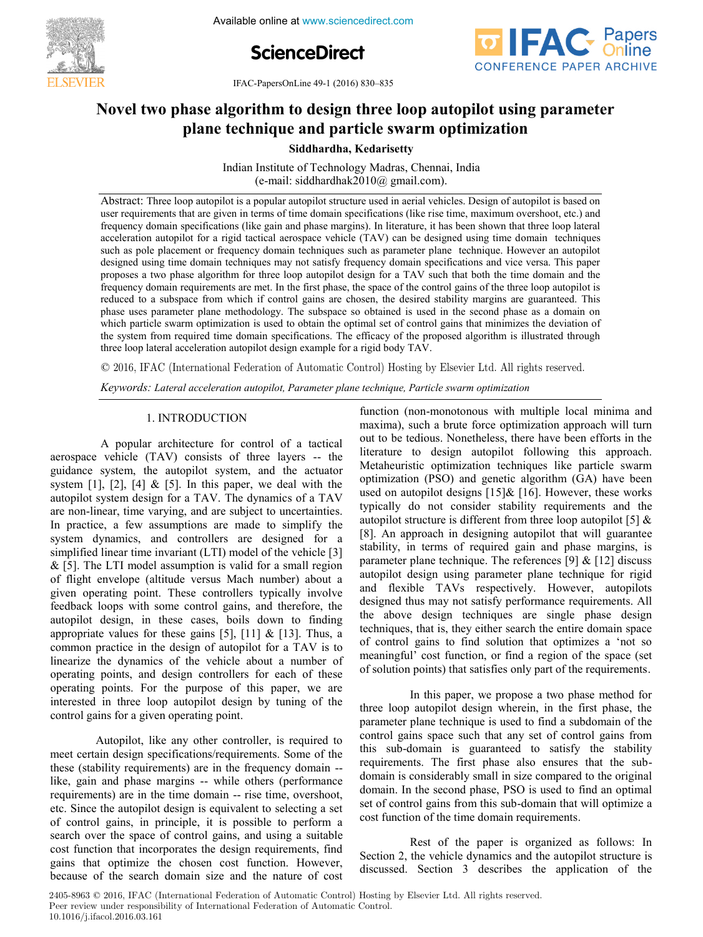**FEBRUARY 1-5, 2016. India Available online at www.sciencedirect.com 4th International Conference on Advances in Control and February 1-5, 2016. NIT Tiruchirappalli, India**



**IFAC-PapersOnLine 49-1 (2016) 830–835** 



#### Novel two phase algorithm to design three loop autopilot using parameter plane technique and particle swarm optimization **Novel two phase algorithm to design three loop autopilot using parameter Novel two phase algorithm to design three loop autopilot using parameter Novel two phase algorithm to design three loop autopilot using parameter plane technique and particle swarm optimization plane technique and particle swarm optimization**

**Siddhardha, Kedarisetty Siddhardha, Kedarisetty Siddhardha, Kedarisetty** 

Indian Institute of Technology Madras, Chennai, India (e-mail: siddhardhak2010@ gmail.com). Indian Institute of Technology Madras, Chennai, India  $(v + \text{max})$ : siddhardhak $2010$ @ gmail. $v \text{0m}$ . Indian Institute of Technology Madras, Chennai, India Indian Institute of Technology Madras, Chennai, India  $(e$ -mail: siddhardhak $2010@$  gmail.com).

detection of the the three internal processes in the community of the time, inaximum overshoot, etc.) and frequency domain specifications (like gain and phase margins). In literature, it has been shown that three loop late requency domain specifications (like gain and phase margins). In literature, it has been shown that three loop fateral<br>acceleration autopilot for a rigid tactical aerospace vehicle (TAV) can be designed using time domain t such as pole placement or frequency domain techniques such as parameter plane technique. However an autopilot designed using time domain techniques may not satisfy frequency domain specifications and vice versa. This paper proposes a two phase algorithm for three loop autopilot design for a TAV such that both the time domain and the proposes a two phase algorithm for three loop autopilot design for a TAV such that both the time domain and the<br>frequency domain requirements are met. In the first phase, the space of the control gains of the three loop au requency domain requirements are met. In the first phase, the space of the control gains of the three loop attophot is<br>reduced to a subspace from which if control gains are chosen, the desired stability margins are guarant phase uses parameter plane methodology. The subspace so obtained is used in the second phase as a domain on which particle swarm optimization is used to obtain the optimal set of control gains that minimizes the deviation which particle swarm optimization is used to obtain the optimal set of control gains that minimizes the deviation of which particle swarm optimization is used to obtain the optimal set of control gams that minimizes the deviation of<br>the system from required time domain specifications. The efficacy of the proposed algorithm is illustrated three loop lateral acceleration autopilot design example for a rigid body TAV. Abstract: Three loop autopilot is a popular autopilot structure used in aerial vehicles. Design of autopilot is based on Abstract. Three loop allophot is a popular allophot structure used in actival venicies. Design of allophot is based on<br>user requirements that are given in terms of time domain specifications (like rise time, maximum oversh the system from required time domain specifications. The efficacy of the proposed algorithm is illustrated through the system from required time domain specifications. The efficacy of the proposed algorithm is illustrated through in  $\mathbf{r}$ 

 $\degree$  2016, IFAC (International Federation of Automatic Control) Hosting by Elsevier Ltd. All rights reserved.  $\odot$  2016, IFAC (International Federation of Automatic Control) Hosting by Elsevier Ltd. All rights reserved.

Keywords: Lateral acceleration autopilot, Parameter plane technique, Particle swarm optimization 1. INTRODUCTION AND 1.1 y<br>Keywords: Lateral acceleration autopilot, Parameter plane technique, Particle swarm optimization *Keywords: Lateral acceleration autopilot, Parameter plane technique, Particle swarm optimization*

#### 1. INTRODUCTION 1. International control of the control of the control of the control of the control of the control of the con<br>1. International control of the control of the control of the control of the control of the control of the con A popular architecture for control of a tactical 1. INTRODUCTION 1. INTRODUCTION 1. INTRODUCTION

A popular architecture for control of a tactical A popular architecture for control of a tactical<br>aerospace vehicle (TAV) consists of three layers -- the guidance system, the autopilot system, and the actuator system [1], [2], [4] & [5]. In this paper, we deal with the system  $\begin{bmatrix} 1 \end{bmatrix}$ ,  $\begin{bmatrix} 2 \end{bmatrix}$ ,  $\begin{bmatrix} 4 \end{bmatrix}$   $\alpha$   $\begin{bmatrix} 3 \end{bmatrix}$ . In this paper, we dear with the autopilot system design for a TAV. The dynamics of a TAV are non-linear, time varying, and are subject to uncertainties. are non-iniear, time varying, and are subject to uncertainties.<br>In practice, a few assumptions are made to simplify the In practice, a few assumptions are made to simplify the system dynamics, and controllers are designed for a simplified linear time invariant (LTI) model of the vehicle [3]  $\&$  [5]. The LTI model assumption is valid for a small region  $\alpha$  [5]. The ETT model assumption is valid for a small region<br>of flight envelope (altitude versus Mach number) about a of fight envelope (antique versus mach humber) about a<br>given operating point. These controllers typically involve given operating point. These controllers typically involve<br>feedback loops with some control gains, and therefore, the recuback hoops with some control gains, and therefore, the autopilot design, in these cases, boils down to finding appropriate values for these gains  $[5]$ ,  $[11]$  &  $[13]$ . Thus, a appropriate values for these gains  $[3]$ ,  $[11]$  &  $[13]$ . Thus, a<br>common practice in the design of autopilot for a TAV is to common practice in the design of autoprior for  $a + A v$  is to<br>linearize the dynamics of the vehicle about a number of operating points, and design controllers for each of these operating points, and design controllers for each of these<br>operating points. For the purpose of this paper, we are interested in three loop autopilot design by tuning of the merested in three loop autopilot design by tuning of the control gains for a given operating point. autopilot system essign for a TAV. The dynamics of a TAV autopilot system design for a TAV. system dynamics, and controllers are designed for a autopilot design, in these cases, boils down to finding Autopiece and the control of the control of the control of the control of the control of the control of the control of the control of the control of the control of the control of the control of the control of the control o system [1], [2], [4]  $\alpha$  [5]. In this paper, we deal with the<br>autopilot system design for a TAV. The dynamics of a TAV<br>are non-linear, time varying, and are subject to uncertainties.<br>In practice, a few assumptions are ma control gains for a given operating point.

Autopilot, like any other controller, is required to Autophot, like any other controller, is required to meet certain design specifications/requirements. Some of the these (stability requirements) are in the frequency domain -like, gain and phase margins -- while others (performance like, gain and phase margins -- while others (performance requirements) are in the time domain -- rise time, overshoot, etc. Since the autopilot design is equivalent to selecting a set of control gains, in principle, it is possible to perform a or control gains, in principle, it is possible to perform a search over the space of control gains, and using a suitable search over the space of control gams, and using a suitable<br>cost function that incorporates the design requirements, find like, gain and phase margins -- while others (performance requirements) are in the time domain -- like, gain and phase margins -- while others (performance requirements) are in the time domain -- rise time, overshoot, etc. because of the search domain size and the nature of cost because of the search domain size and the nature of cost gains that optimize the chosen cost function. However, meet certain design specifications/requirements. Some of the like, gain and phase margins -- while others (performance **Copyright © 2016 IFAC 830** because of the search domain size and the nature of cost

function (non-monotonous with multiple local minima and maxima), such a brute force optimization approach will turn out to be tedious. Nonetheless, there have been efforts in the but to be teatibus. Nonetheress, there have been errorts in the literature to design autopilot following this approach. Metaheuristic optimization techniques like particle swarm optimization (PSO) and genetic algorithm (GA) have been optimization (1 SO) and generic algorithm (OA) have been<br>used on autopilot designs  $[15]$ &  $[16]$ . However, these works  $t$  and  $t$  and  $t$  and  $t$  are  $t$  and  $t$  are  $t$  and  $t$  and  $t$  and  $t$  and  $t$  and  $t$  and  $t$  and  $t$  and  $t$  and  $t$  and  $t$  and  $t$  and  $t$  and  $t$  and  $t$  and  $t$  and  $t$  and  $t$  and  $t$  and  $t$  and  $t$  and  $t$  a Equivalently requirements and the autopilot structure is different from three loop autopilot  $[5]$  & adoption structure is different from three loop adoption [5]  $\alpha$  [8]. An approach in designing autopilot that will guarantee (b). An approach in designing adoption that will guarantee<br>stability, in terms of required gain and phase margins, is stability, in terms of required gain and phase margins, is<br>parameter plane technique. The references  $[9] \& [12]$  discuss parameter plane technique. The references  $[3]$   $\alpha$   $[12]$  urscuss autopilot design using parameter plane technique for rigid adversion design using parameter plane technique for rigid<br>and flexible TAVs respectively. However, autopilots and hexible TAVS respectively. However, addeptions designed thus may not satisfy performance requirements. All the above design techniques are single phase design the doove design techniques are single phase design techniques, that is, they either search the entire domain space of control gains to find solution that optimizes a 'not so meaningful' cost function, or find a region of the space (set of solution points) that satisfies only part of the requirements. function (non-monotonous with multiple local minima and<br>maxima), such a brute force optimization approach will turn literature to design autopilot following this approach. designed thus may not satisfy performance requirements. All techniques, that is, they either search the entire domain space function (non-monotonous with multiple local minima and<br>maxima), such a brute force optimization approach will turn<br>out to be tedious. Nonetheless, there have been efforts in the<br>literature to design autopilot following t [6]. All approach in designing adoption that will guarantee<br>stability, in terms of required gain and phase margins, is<br>parameter plane technique. The references [9] & [12] discuss<br>autopilot design using parameter plane te designed thus may not satisfy performance requirements. All meaningful cost function, or find a region of the space (set of solution points) that satisfies only part of the requirements. of solution points) that satisfies only part of the requirements.

In this paper, we propose a two phase method for three loop autopilot design wherein, in the first phase, the three loop autopilot design wherein, in the first phase, the parameter plane technique is used to find a subdomain of the parameter plane technique is used to find a subdomain of the<br>control gains space such that any set of control gains from control gains space such that any set of control gains from<br>this sub-domain is guaranteed to satisfy the stability requirements. The first phase also ensures that the subdomain is considerably small in size compared to the original domain. In the second phase, PSO is used to find an optimal abiliant. In the second phase, FSO is used to find an optimal set of control gains from this sub-domain that will optimize a cost function of the time domain requirements. three loop autopilot design wherein, in the first phase, the this sub-domain is guaranteed to satisfy the stability abilian: In the second phase, PSO is used to find an optimal.<br>set of control gains from this sub-domain that will optimize a set of control gains from this sub-domain that will optimize a<br>cost function of the time domain requirements. cost function of the time domain requirements.

Rest of the paper is organized as follows: In Rest of the paper is organized as follows: In Section 2, the vehicle dynamics and the autopilot structure is discussed. Section 3 describes the application of the discussed. Section 3 describes the application of the Section 2, the vehicle dynamics and the autopilot structure is discussed. Section 3 describes the application of the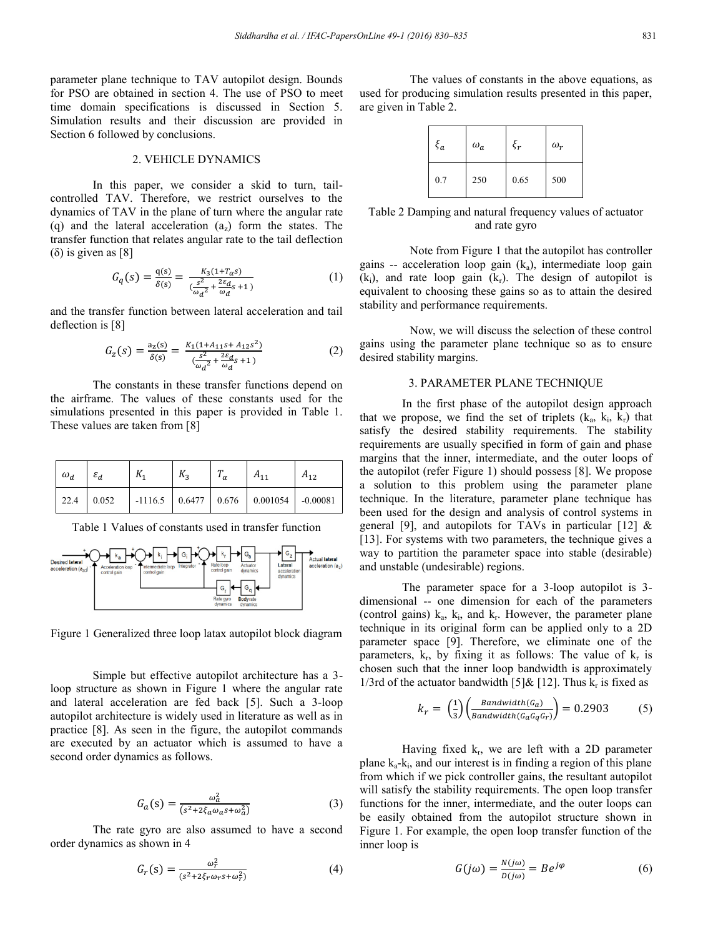parameter plane technique to TAV autopilot design. Bounds for PSO are obtained in section 4. The use of PSO to meet time domain specifications is discussed in Section 5. Simulation results and their discussion are provided in Section 6 followed by conclusions.

## 2. VEHICLE DYNAMICS

In this paper, we consider a skid to turn, tailcontrolled TAV. Therefore, we restrict ourselves to the dynamics of TAV in the plane of turn where the angular rate (q) and the lateral acceleration  $(a_7)$  form the states. The transfer function that relates angular rate to the tail deflection (δ) is given as [8]

$$
G_q(s) = \frac{q(s)}{\delta(s)} = \frac{K_3(1 + T_\alpha s)}{\frac{s^2}{\omega_d^2} + \frac{2\varepsilon_d}{\omega_d} s + 1} \tag{1}
$$

and the transfer function between lateral acceleration and tail deflection is [8]

$$
G_Z(s) = \frac{a_Z(s)}{\delta(s)} = \frac{K_1(1 + A_{11}s + A_{12}s^2)}{\frac{s^2}{\omega_d^2} + \frac{2\varepsilon_d}{\omega_d}s + 1}
$$
 (2)

The constants in these transfer functions depend on the airframe. The values of these constants used for the simulations presented in this paper is provided in Table 1. These values are taken from [8]

| $\omega_d$ $\varepsilon_d$ | $K_{1}$ | $K_{2}$ | $T_{\alpha}$ | $A_{11}$ | $A_{12}$ |
|----------------------------|---------|---------|--------------|----------|----------|
|                            |         |         |              |          |          |

Table 1 Values of constants used in transfer function



Figure 1 Generalized three loop latax autopilot block diagram

Simple but effective autopilot architecture has a 3 loop structure as shown in Figure 1 where the angular rate and lateral acceleration are fed back [5]. Such a 3-loop autopilot architecture is widely used in literature as well as in practice [8]. As seen in the figure, the autopilot commands are executed by an actuator which is assumed to have a second order dynamics as follows.

$$
G_a(s) = \frac{\omega_a^2}{(s^2 + 2\xi_a \omega_a s + \omega_a^2)}
$$
(3)

The rate gyro are also assumed to have a second order dynamics as shown in 4

$$
G_r(s) = \frac{\omega_r^2}{(s^2 + 2\xi_r \omega_r s + \omega_r^2)}
$$
(4)

The values of constants in the above equations, as used for producing simulation results presented in this paper, are given in Table 2.

| $\xi_a$ | $\omega_a$ | $\xi_r$ | $\omega_r$ |
|---------|------------|---------|------------|
| 0.7     | 250        | 0.65    | 500        |

Table 2 Damping and natural frequency values of actuator and rate gyro

Note from Figure 1 that the autopilot has controller gains -- acceleration loop gain  $(k_a)$ , intermediate loop gain  $(k<sub>i</sub>)$ , and rate loop gain  $(k<sub>r</sub>)$ . The design of autopilot is equivalent to choosing these gains so as to attain the desired stability and performance requirements.

Now, we will discuss the selection of these control gains using the parameter plane technique so as to ensure desired stability margins.

#### 3. PARAMETER PLANE TECHNIQUE

In the first phase of the autopilot design approach that we propose, we find the set of triplets  $(k_a, k_i, k_r)$  that satisfy the desired stability requirements. The stability requirements are usually specified in form of gain and phase margins that the inner, intermediate, and the outer loops of the autopilot (refer Figure 1) should possess [8]. We propose a solution to this problem using the parameter plane technique. In the literature, parameter plane technique has been used for the design and analysis of control systems in general [9], and autopilots for TAVs in particular [12]  $\&$ [13]. For systems with two parameters, the technique gives a way to partition the parameter space into stable (desirable) and unstable (undesirable) regions.

The parameter space for a 3-loop autopilot is 3 dimensional -- one dimension for each of the parameters (control gains)  $k_a$ ,  $k_i$ , and  $k_r$ . However, the parameter plane technique in its original form can be applied only to a 2D parameter space [9]. Therefore, we eliminate one of the parameters,  $k_r$ , by fixing it as follows: The value of  $k_r$  is chosen such that the inner loop bandwidth is approximately 1/3rd of the actuator bandwidth [5] & [12]. Thus  $k_r$  is fixed as

$$
k_r = \binom{1}{3} \left( \frac{Bandwidth(G_a)}{Bandwidth(G_aG_qG_r)} \right) = 0.2903 \tag{5}
$$

Having fixed  $k_r$ , we are left with a 2D parameter plane  $k_a$ - $k_i$ , and our interest is in finding a region of this plane from which if we pick controller gains, the resultant autopilot will satisfy the stability requirements. The open loop transfer functions for the inner, intermediate, and the outer loops can be easily obtained from the autopilot structure shown in Figure 1. For example, the open loop transfer function of the inner loop is

$$
G(j\omega) = \frac{N(j\omega)}{D(j\omega)} = Be^{j\varphi} \tag{6}
$$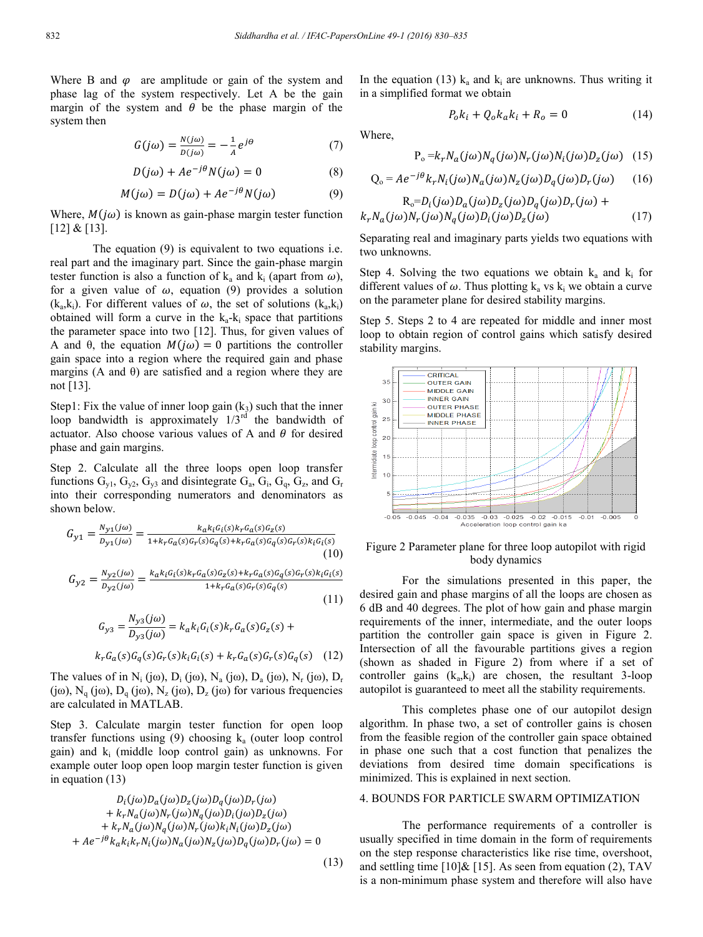Where B and  $\varphi$  are amplitude or gain of the system and phase lag of the system respectively. Let A be the gain margin of the system and  $\theta$  be the phase margin of the system then

$$
G(j\omega) = \frac{N(j\omega)}{D(j\omega)} = -\frac{1}{A}e^{j\theta} \tag{7}
$$

$$
D(j\omega) + Ae^{-j\theta}N(j\omega) = 0
$$
 (8)

$$
M(j\omega) = D(j\omega) + Ae^{-j\theta}N(j\omega)
$$
 (9)

Where,  $M(i\omega)$  is known as gain-phase margin tester function  $[12] & [13]$ .

The equation (9) is equivalent to two equations i.e. real part and the imaginary part. Since the gain-phase margin tester function is also a function of  $k_a$  and  $k_i$  (apart from  $\omega$ ), for a given value of  $\omega$ , equation (9) provides a solution  $(k_a, k_i)$ . For different values of  $\omega$ , the set of solutions  $(k_a, k_i)$ obtained will form a curve in the  $k_a - k_i$  space that partitions the parameter space into two [12]. Thus, for given values of A and  $\theta$ , the equation  $M(j\omega) = 0$  partitions the controller gain space into a region where the required gain and phase margins (A and  $\theta$ ) are satisfied and a region where they are not [13].

Step1: Fix the value of inner loop gain  $(k_3)$  such that the inner loop bandwidth is approximately  $1/\hat{3}^{rd'}$  the bandwidth of actuator. Also choose various values of A and  $\theta$  for desired phase and gain margins.

Step 2. Calculate all the three loops open loop transfer functions  $G_{v1}$ ,  $G_{v2}$ ,  $G_{v3}$  and disintegrate  $G_a$ ,  $G_i$ ,  $G_q$ ,  $G_z$ , and  $G_r$ into their corresponding numerators and denominators as shown below.

$$
G_{y1} = \frac{N_{y1}(j\omega)}{D_{y1}(j\omega)} = \frac{k_a k_i G_i(s) k_r G_a(s) G_z(s)}{1 + k_r G_a(s) G_r(s) G_q(s) + k_r G_a(s) G_q(s) G_r(s) k_i G_i(s)}
$$
(10)

$$
G_{y2} = \frac{N_{y2}(j\omega)}{D_{y2}(j\omega)} = \frac{k_a k_i G_i(s) k_r G_a(s) G_z(s) + k_r G_a(s) G_q(s) G_r(s) k_i G_i(s)}{1 + k_r G_a(s) G_r(s) G_q(s)}
$$
(11)

$$
G_{y3} = \frac{N_{y3}(j\omega)}{D_{y3}(j\omega)} = k_a k_i G_i(s) k_r G_a(s) G_z(s) +
$$
  

$$
k_r G_a(s) G_q(s) G_r(s) k_i G_i(s) + k_r G_a(s) G_r(s) G_q(s) \quad (12)
$$

The values of in  $N_i$  (jω),  $D_i$  (jω),  $N_a$  (jω),  $D_a$  (jω),  $N_r$  (jω),  $D_r$ (jω),  $N_q$  (jω),  $D_q$  (jω),  $N_z$  (jω),  $D_z$  (jω) for various frequencies are calculated in MATLAB.

Step 3. Calculate margin tester function for open loop transfer functions using (9) choosing  $k_a$  (outer loop control gain) and  $k_i$  (middle loop control gain) as unknowns. For example outer loop open loop margin tester function is given in equation (13)

$$
D_i(j\omega)D_a(j\omega)D_z(j\omega)D_q(j\omega)D_r(j\omega) + k_r N_a(j\omega)N_r(j\omega)N_q(j\omega)D_i(j\omega)D_z(j\omega) + k_r N_a(j\omega)N_q(j\omega)N_r(j\omega)k_iN_i(j\omega)D_z(j\omega) + Ae^{-j\theta}k_\alpha k_i k_r N_i(j\omega)N_a(j\omega)N_z(j\omega)D_q(j\omega)D_r(j\omega) = 0
$$

(13)

In the equation (13)  $k_a$  and  $k_i$  are unknowns. Thus writing it in a simplified format we obtain

$$
P_o k_i + Q_o k_a k_i + R_o = 0 \tag{14}
$$

Where,

$$
P_o = k_r N_a (j\omega) N_q (j\omega) N_r (j\omega) N_i (j\omega) D_z (j\omega) \quad (15)
$$

$$
Q_{o} = Ae^{-j\theta}k_{r}N_{i}(j\omega)N_{a}(j\omega)N_{z}(j\omega)D_{q}(j\omega)D_{r}(j\omega)
$$
 (16)

$$
R_o = D_i(j\omega)D_a(j\omega)D_z(j\omega)D_q(j\omega)D_r(j\omega) +
$$
  

$$
k_r N_a(j\omega)N_r(j\omega)N_q(j\omega)D_i(j\omega)D_z(j\omega)
$$
 (17)

Separating real and imaginary parts yields two equations with two unknowns.

Step 4. Solving the two equations we obtain  $k_a$  and  $k_i$  for different values of  $\omega$ . Thus plotting  $k_a$  vs  $k_i$  we obtain a curve on the parameter plane for desired stability margins.

Step 5. Steps 2 to 4 are repeated for middle and inner most loop to obtain region of control gains which satisfy desired stability margins.



## Figure 2 Parameter plane for three loop autopilot with rigid body dynamics

For the simulations presented in this paper, the desired gain and phase margins of all the loops are chosen as 6 dB and 40 degrees. The plot of how gain and phase margin requirements of the inner, intermediate, and the outer loops partition the controller gain space is given in Figure 2. Intersection of all the favourable partitions gives a region (shown as shaded in Figure 2) from where if a set of controller gains  $(k_a, k_i)$  are chosen, the resultant 3-loop autopilot is guaranteed to meet all the stability requirements.

This completes phase one of our autopilot design algorithm. In phase two, a set of controller gains is chosen from the feasible region of the controller gain space obtained in phase one such that a cost function that penalizes the deviations from desired time domain specifications is minimized. This is explained in next section.

#### 4. BOUNDS FOR PARTICLE SWARM OPTIMIZATION

The performance requirements of a controller is usually specified in time domain in the form of requirements on the step response characteristics like rise time, overshoot, and settling time  $[10]\& [15]$ . As seen from equation (2), TAV is a non-minimum phase system and therefore will also have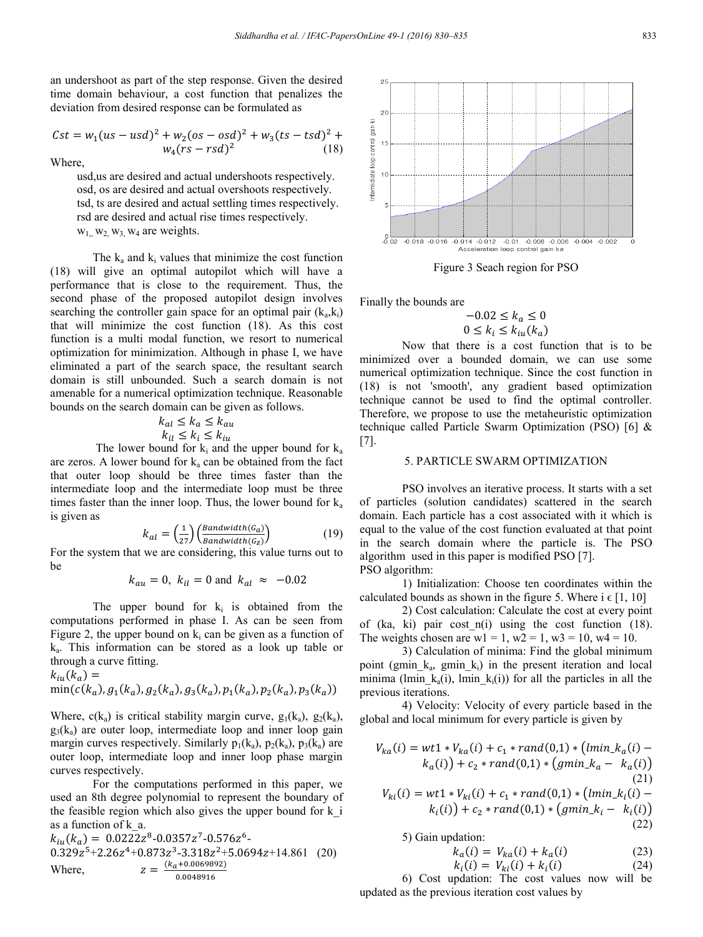an undershoot as part of the step response. Given the desired time domain behaviour, a cost function that penalizes the deviation from desired response can be formulated as

$$
Cst = w_1(us - usd)^2 + w_2(os - osd)^2 + w_3(ts - tsd)^2 + w_4(rs - rsd)^2
$$
\n(18)

Where,

 usd,us are desired and actual undershoots respectively. osd, os are desired and actual overshoots respectively. tsd, ts are desired and actual settling times respectively. rsd are desired and actual rise times respectively.  $w_1$ ,  $w_2$ ,  $w_3$ ,  $w_4$  are weights.

The  $k_a$  and  $k_i$  values that minimize the cost function (18) will give an optimal autopilot which will have a performance that is close to the requirement. Thus, the second phase of the proposed autopilot design involves searching the controller gain space for an optimal pair  $(k_a, k_i)$ that will minimize the cost function (18). As this cost function is a multi modal function, we resort to numerical optimization for minimization. Although in phase I, we have eliminated a part of the search space, the resultant search domain is still unbounded. Such a search domain is not amenable for a numerical optimization technique. Reasonable bounds on the search domain can be given as follows.

$$
k_{al} \le k_a \le k_{au}
$$
  

$$
k_{il} \le k_i \le k_{iu}
$$

The lower bound for  $k_i$  and the upper bound for  $k_a$ are zeros. A lower bound for  $k_a$  can be obtained from the fact that outer loop should be three times faster than the intermediate loop and the intermediate loop must be three times faster than the inner loop. Thus, the lower bound for  $k_a$ is given as

$$
k_{al} = \left(\frac{1}{27}\right) \left(\frac{Bandwidth(G_a)}{Bandwidth(G_z)}\right) \tag{19}
$$

For the system that we are considering, this value turns out to be

$$
k_{au} = 0, k_{il} = 0 \text{ and } k_{al} \approx -0.02
$$

The upper bound for  $k_i$  is obtained from the computations performed in phase I. As can be seen from Figure 2, the upper bound on  $k_i$  can be given as a function of ka. This information can be stored as a look up table or through a curve fitting.

$$
k_{iu}(k_a) = \min(c(k_a), g_1(k_a), g_2(k_a), g_3(k_a), p_1(k_a), p_2(k_a), p_3(k_a))
$$

Where,  $c(k_a)$  is critical stability margin curve,  $g_1(k_a)$ ,  $g_2(k_a)$ ,  $g_3(k_a)$  are outer loop, intermediate loop and inner loop gain margin curves respectively. Similarly  $p_1(k_a)$ ,  $p_2(k_a)$ ,  $p_3(k_a)$  are outer loop, intermediate loop and inner loop phase margin curves respectively.

For the computations performed in this paper, we used an 8th degree polynomial to represent the boundary of the feasible region which also gives the upper bound for k\_i as a function of k\_a.

$$
k_{iu}(k_a) = 0.0222z^8 - 0.0357z^7 - 0.576z^6 - 0.329z^5 + 2.26z^4 + 0.873z^3 - 3.318z^2 + 5.0694z + 14.861
$$
 (20)  
Where, 
$$
z = \frac{(k_a + 0.0069892)}{0.0048916}
$$



Figure 3 Seach region for PSO

Finally the bounds are

$$
-0.02 \le k_a \le 0
$$
  

$$
0 \le k_i \le k_{iu}(k_a)
$$

Now that there is a cost function that is to be minimized over a bounded domain, we can use some numerical optimization technique. Since the cost function in (18) is not 'smooth', any gradient based optimization technique cannot be used to find the optimal controller. Therefore, we propose to use the metaheuristic optimization technique called Particle Swarm Optimization (PSO) [6] & [7].

## 5. PARTICLE SWARM OPTIMIZATION

PSO involves an iterative process. It starts with a set of particles (solution candidates) scattered in the search domain. Each particle has a cost associated with it which is equal to the value of the cost function evaluated at that point in the search domain where the particle is. The PSO algorithm used in this paper is modified PSO [7]. PSO algorithm:

1) Initialization: Choose ten coordinates within the calculated bounds as shown in the figure 5. Where  $i \in [1, 10]$ 

2) Cost calculation: Calculate the cost at every point of (ka, ki) pair cost  $n(i)$  using the cost function (18). The weights chosen are  $wl = 1$ ,  $w2 = 1$ ,  $w3 = 10$ ,  $w4 = 10$ .

3) Calculation of minima: Find the global minimum point (gmin  $k_a$ , gmin  $k_i$ ) in the present iteration and local minima (lmin  $k_a(i)$ , lmin  $k_i(i)$ ) for all the particles in all the previous iterations.

4) Velocity: Velocity of every particle based in the global and local minimum for every particle is given by

$$
V_{ka}(i) = wt1 * V_{ka}(i) + c_1 * rand(0,1) * (lmin_k a(i) – k_a(i)) + c_2 * rand(0,1) * (gmin_k a – k_a(i))
$$
\n(21)  
\n
$$
V_{ki}(i) = wt1 * V_{ki}(i) + c_1 * rand(0,1) * (lmin_k a(i) – k_i(i)) + c_2 * rand(0,1) * (gmin_k a – k_i(i))
$$
\n(22)

5) Gain updation:

$$
k_a(i) = V_{ka}(i) + k_a(i)
$$
 (23)

$$
k_i(i) = V_{ki}(i) + k_i(i)
$$
 (24)

6) Cost updation: The cost values now will be updated as the previous iteration cost values by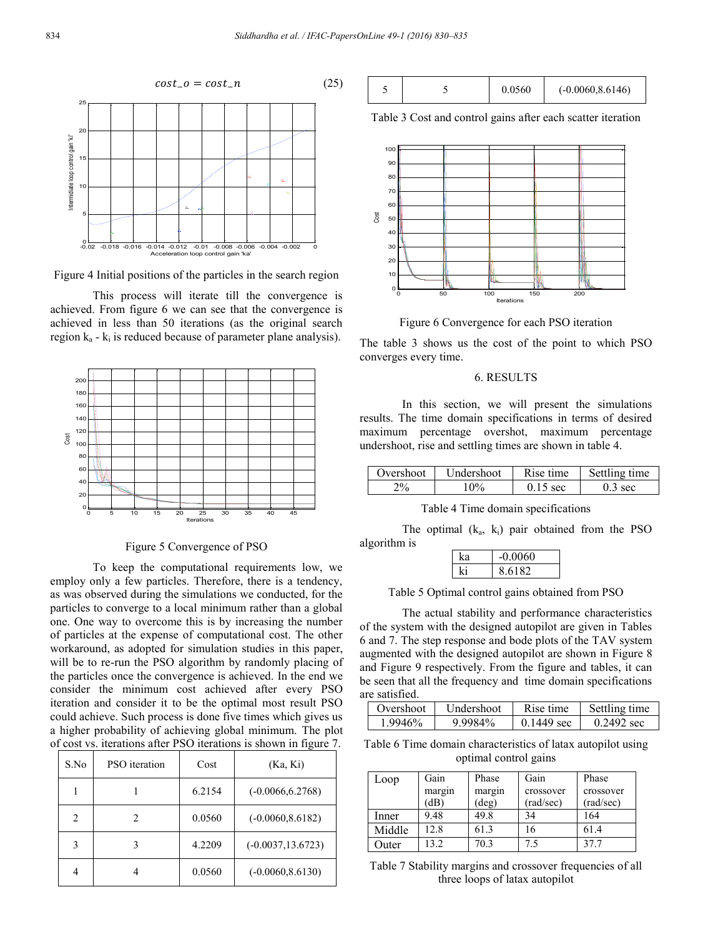

Figure 4 Initial positions of the particles in the search region

This process will iterate till the convergence is achieved. From figure 6 we can see that the convergence is achieved in less than 50 iterations (as the original search region  $k_a$  -  $k_i$  is reduced because of parameter plane analysis).



Figure 5 Convergence of PSO

To keep the computational requirements low, we employ only a few particles. Therefore, there is a tendency, as was observed during the simulations we conducted, for the particles to converge to a local minimum rather than a global one. One way to overcome this is by increasing the number of particles at the expense of computational cost. The other workaround, as adopted for simulation studies in this paper, will be to re-run the PSO algorithm by randomly placing of the particles once the convergence is achieved. In the end we consider the minimum cost achieved after every PSO iteration and consider it to be the optimal most result PSO could achieve. Such process is done five times which gives us a higher probability of achieving global minimum. The plot of cost vs. iterations after PSO iterations is shown in figure 7.

| S.No           | PSO iteration | Cost   | (Ka, Ki)             |
|----------------|---------------|--------|----------------------|
|                |               | 6.2154 | $(-0.0066, 6.2768)$  |
| $\overline{c}$ |               | 0.0560 | $(-0.0060, 8.6182)$  |
| 3              |               | 4.2209 | $(-0.0037, 13.6723)$ |
| 4              |               | 0.0560 | $(-0.0060, 8.6130)$  |



Table 3 Cost and control gains after each scatter iteration



Figure 6 Convergence for each PSO iteration

The table 3 shows us the cost of the point to which PSO converges every time.

#### 6. RESULTS

In this section, we will present the simulations results. The time domain specifications in terms of desired maximum percentage overshot, maximum percentage undershoot, rise and settling times are shown in table 4.

| Overshoot                          | Undershoot | Rise time  | Settling time     |
|------------------------------------|------------|------------|-------------------|
| $^{\mathbf{\mathsf{p}}\mathsf{0}}$ | Ω0.        | $0.15$ sec | $0.3 \text{ sec}$ |

Table 4 Time domain specifications

The optimal  $(k_a, k_i)$  pair obtained from the PSO algorithm is

| $-0.0060$ |
|-----------|
| 8.6182    |

Table 5 Optimal control gains obtained from PSO

The actual stability and performance characteristics of the system with the designed autopilot are given in Tables 6 and 7. The step response and bode plots of the TAV system augmented with the designed autopilot are shown in Figure 8 and Figure 9 respectively. From the figure and tables, it can be seen that all the frequency and time domain specifications are satisfied.

| Overshoot | Undershoot | Rise time            | Settling time        |
|-----------|------------|----------------------|----------------------|
| 1.9946%   | 9.9984%    | $0.1449 \text{ sec}$ | $0.2492 \text{ sec}$ |

Table 6 Time domain characteristics of latax autopilot using optimal control gains

| Loop   | Gain   | Phase  | Gain      | Phase     |
|--------|--------|--------|-----------|-----------|
|        | margin | margin | crossover | crossover |
|        | (dB)   | deg)   | (rad/sec) | (rad/sec) |
| Inner  | 9.48   | 49.8   | 34        | 164       |
| Middle | 12.8   | 61.3   | 16        | 61.4      |
| Outer  | 132    | 70.3   | 7.5       | 377       |

Table 7 Stability margins and crossover frequencies of all three loops of latax autopilot